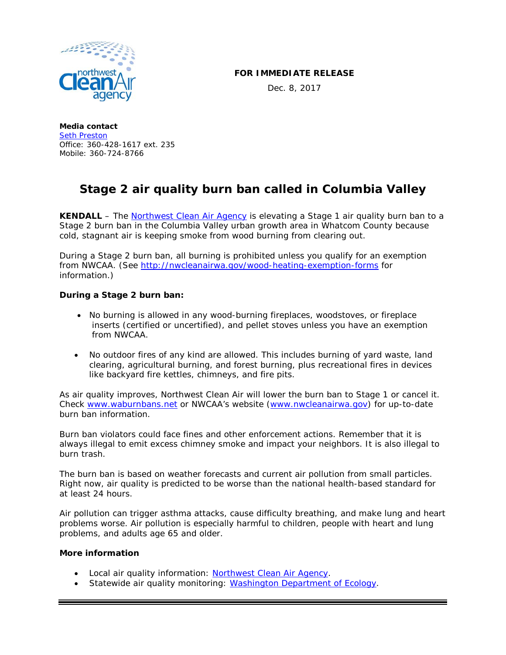

## **FOR IMMEDIATE RELEASE**

Dec. 8, 2017

**Media contact** [Seth Preston](mailto:seth.p@nwcleanairwa.gov) Office: 360-428-1617 ext. 235 Mobile: 360-724-8766

## **Stage 2 air quality burn ban called in Columbia Valley**

**KENDALL** – The [Northwest Clean Air Agency](http://nwcleanairwa.gov/) is elevating a Stage 1 air quality burn ban to a Stage 2 burn ban in the Columbia Valley urban growth area in Whatcom County because cold, stagnant air is keeping smoke from wood burning from clearing out.

During a Stage 2 burn ban, all burning is prohibited unless you qualify for an exemption from NWCAA. (See<http://nwcleanairwa.gov/wood-heating-exemption-forms> for information.)

## **During a Stage 2 burn ban:**

- No burning is allowed in any wood-burning fireplaces, woodstoves, or fireplace inserts (certified or uncertified), and pellet stoves unless you have an exemption from NWCAA.
- No outdoor fires of any kind are allowed. This includes burning of yard waste, land clearing, agricultural burning, and forest burning, plus recreational fires in devices like backyard fire kettles, chimneys, and fire pits.

As air quality improves, Northwest Clean Air will lower the burn ban to Stage 1 or cancel it. Check [www.waburnbans.net](http://www.waburnbans.net/) or NWCAA's website [\(www.nwcleanairwa.gov\)](http://www.nwcleanairwa.gov/) for up-to-date burn ban information.

Burn ban violators could face fines and other enforcement actions. Remember that it is always illegal to emit excess chimney smoke and impact your neighbors. It is also illegal to burn trash.

The burn ban is based on weather forecasts and current air pollution from small particles. Right now, air quality is predicted to be worse than the national health-based standard for at least 24 hours.

Air pollution can trigger asthma attacks, cause difficulty breathing, and make lung and heart problems worse. Air pollution is especially harmful to children, people with heart and lung problems, and adults age 65 and older.

## **More information**

- Local air quality information: [Northwest Clean Air Agency.](http://nwcleanairwa.gov/air-quality-center/)
- Statewide air quality monitoring: [Washington Department of Ecology.](https://fortress.wa.gov/ecy/enviwa/)